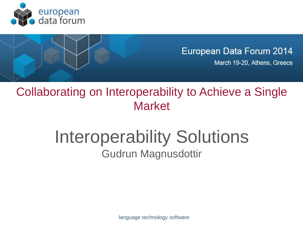



Collaborating on Interoperability to Achieve a Single Market

## Interoperability Solutions Gudrun Magnusdottir

language technology software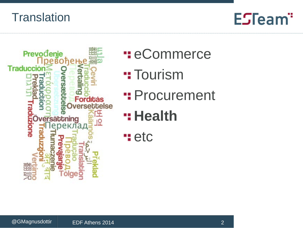#### **Translation**



- **H**: eCommerce
- **Tourism**
- **": Procurement**
- **Health**
- **H**etc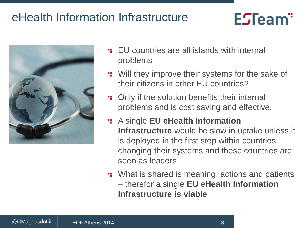### eHealth Information Infrastructure



- EU countries are all islands with internal problems
- **...** Will they improve their systems for the sake of their citizens in other EU countries?

- **:** Only if the solution benefits their internal problems and is cost saving and effective.
- A single **EU eHealth Information Infrastructure** would be slow in uptake unless it is deployed in the first step within countries changing their systems and these countries are seen as leaders
- **...** What is shared is meaning, actions and patients – therefor a single **EU eHealth Information Infrastructure is viable**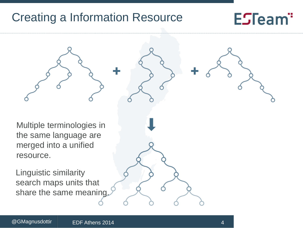#### Creating a Information Resource

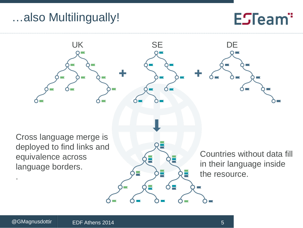### …also Multilingually!

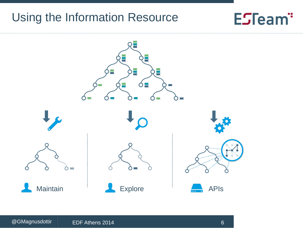#### Using the Information Resource

# ₽ ÷, Ó≣ ÷  $\sim$  $\sim$ Maintain **APIS** Explore **APIS**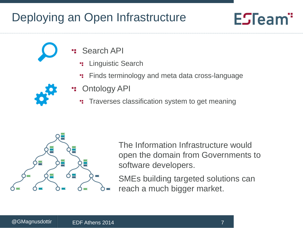## Deploying an Open Infrastructure

## ESTeam"

- Search API
	- Linguistic Search ٠.
	- Finds terminology and meta data cross-language



- Ontology API
	- **Traverses classification system to get meaning**



The Information Infrastructure would open the domain from Governments to software developers.

SMEs building targeted solutions can reach a much bigger market.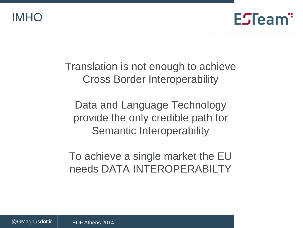IMHO



Translation is not enough to achieve Cross Border Interoperability

Data and Language Technology provide the only credible path for Semantic Interoperability

To achieve a single market the EU needs DATA INTEROPERABILTY